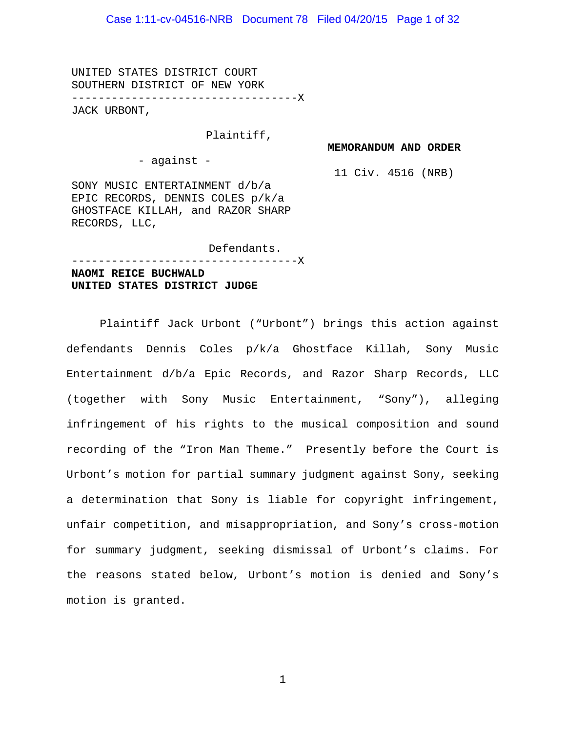UNITED STATES DISTRICT COURT SOUTHERN DISTRICT OF NEW YORK ----------------------------------X

JACK URBONT,

#### Plaintiff,

**MEMORANDUM AND ORDER**

- against -

11 Civ. 4516 (NRB)

SONY MUSIC ENTERTAINMENT d/b/a EPIC RECORDS, DENNIS COLES p/k/a GHOSTFACE KILLAH, and RAZOR SHARP RECORDS, LLC,

Defendants.

----------------------------------X

## **NAOMI REICE BUCHWALD UNITED STATES DISTRICT JUDGE**

Plaintiff Jack Urbont ("Urbont") brings this action against defendants Dennis Coles p/k/a Ghostface Killah, Sony Music Entertainment d/b/a Epic Records, and Razor Sharp Records, LLC (together with Sony Music Entertainment, "Sony"), alleging infringement of his rights to the musical composition and sound recording of the "Iron Man Theme." Presently before the Court is Urbont's motion for partial summary judgment against Sony, seeking a determination that Sony is liable for copyright infringement, unfair competition, and misappropriation, and Sony's cross-motion for summary judgment, seeking dismissal of Urbont's claims. For the reasons stated below, Urbont's motion is denied and Sony's motion is granted.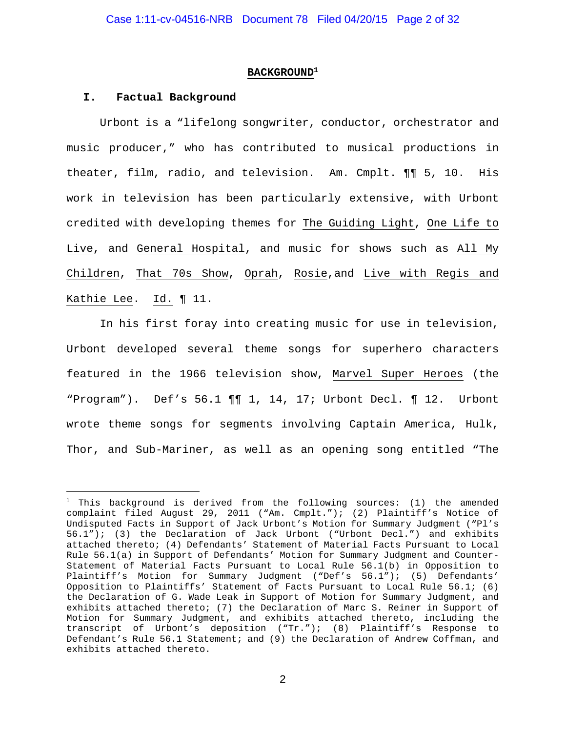#### **BACKGROUND1**

#### **I. Factual Background**

 $\overline{a}$ 

Urbont is a "lifelong songwriter, conductor, orchestrator and music producer," who has contributed to musical productions in theater, film, radio, and television. Am. Cmplt. ¶¶ 5, 10. His work in television has been particularly extensive, with Urbont credited with developing themes for The Guiding Light, One Life to Live, and General Hospital, and music for shows such as All My Children, That 70s Show, Oprah, Rosie,and Live with Regis and Kathie Lee. Id. ¶ 11.

In his first foray into creating music for use in television, Urbont developed several theme songs for superhero characters featured in the 1966 television show, Marvel Super Heroes (the "Program"). Def's 56.1 ¶¶ 1, 14, 17; Urbont Decl. ¶ 12. Urbont wrote theme songs for segments involving Captain America, Hulk, Thor, and Sub-Mariner, as well as an opening song entitled "The

<sup>1</sup> This background is derived from the following sources: (1) the amended complaint filed August 29, 2011 ("Am. Cmplt."); (2) Plaintiff's Notice of Undisputed Facts in Support of Jack Urbont's Motion for Summary Judgment ("Pl's 56.1"); (3) the Declaration of Jack Urbont ("Urbont Decl.") and exhibits attached thereto; (4) Defendants' Statement of Material Facts Pursuant to Local Rule 56.1(a) in Support of Defendants' Motion for Summary Judgment and Counter-Statement of Material Facts Pursuant to Local Rule 56.1(b) in Opposition to Plaintiff's Motion for Summary Judgment ("Def's 56.1"); (5) Defendants' Opposition to Plaintiffs' Statement of Facts Pursuant to Local Rule 56.1; (6) the Declaration of G. Wade Leak in Support of Motion for Summary Judgment, and exhibits attached thereto; (7) the Declaration of Marc S. Reiner in Support of Motion for Summary Judgment, and exhibits attached thereto, including the transcript of Urbont's deposition ("Tr."); (8) Plaintiff's Response to Defendant's Rule 56.1 Statement; and (9) the Declaration of Andrew Coffman, and exhibits attached thereto.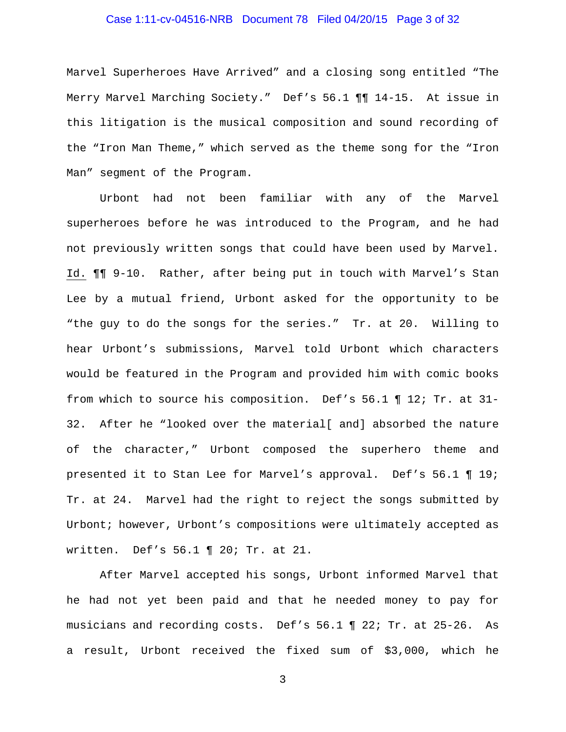## Case 1:11-cv-04516-NRB Document 78 Filed 04/20/15 Page 3 of 32

Marvel Superheroes Have Arrived" and a closing song entitled "The Merry Marvel Marching Society." Def's 56.1 ¶¶ 14-15. At issue in this litigation is the musical composition and sound recording of the "Iron Man Theme," which served as the theme song for the "Iron Man" segment of the Program.

Urbont had not been familiar with any of the Marvel superheroes before he was introduced to the Program, and he had not previously written songs that could have been used by Marvel. Id. ¶¶ 9-10. Rather, after being put in touch with Marvel's Stan Lee by a mutual friend, Urbont asked for the opportunity to be "the guy to do the songs for the series." Tr. at 20. Willing to hear Urbont's submissions, Marvel told Urbont which characters would be featured in the Program and provided him with comic books from which to source his composition. Def's 56.1 ¶ 12; Tr. at 31- 32. After he "looked over the material[ and] absorbed the nature of the character," Urbont composed the superhero theme and presented it to Stan Lee for Marvel's approval. Def's 56.1 ¶ 19; Tr. at 24. Marvel had the right to reject the songs submitted by Urbont; however, Urbont's compositions were ultimately accepted as written. Def's 56.1 ¶ 20; Tr. at 21.

After Marvel accepted his songs, Urbont informed Marvel that he had not yet been paid and that he needed money to pay for musicians and recording costs. Def's 56.1 ¶ 22; Tr. at 25-26. As a result, Urbont received the fixed sum of \$3,000, which he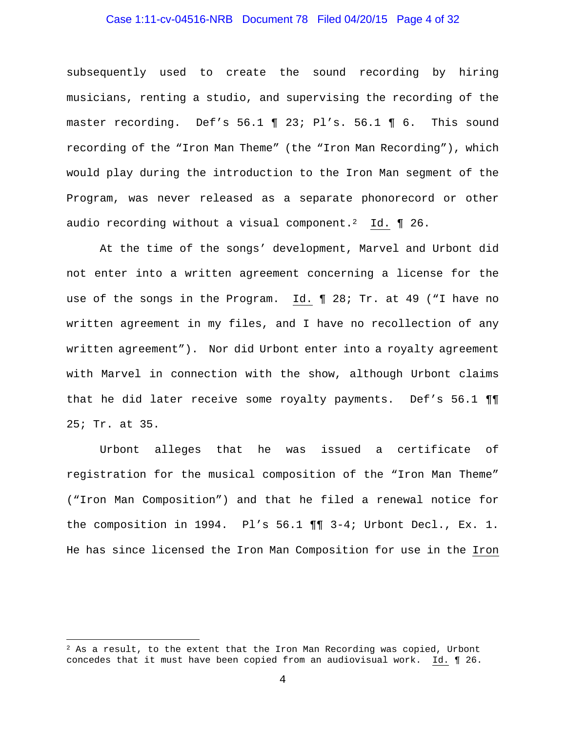## Case 1:11-cv-04516-NRB Document 78 Filed 04/20/15 Page 4 of 32

subsequently used to create the sound recording by hiring musicians, renting a studio, and supervising the recording of the master recording. Def's 56.1 ¶ 23; Pl's. 56.1 ¶ 6. This sound recording of the "Iron Man Theme" (the "Iron Man Recording"), which would play during the introduction to the Iron Man segment of the Program, was never released as a separate phonorecord or other audio recording without a visual component.<sup>2</sup> Id.  $\P$  26.

At the time of the songs' development, Marvel and Urbont did not enter into a written agreement concerning a license for the use of the songs in the Program. Id. ¶ 28; Tr. at 49 ("I have no written agreement in my files, and I have no recollection of any written agreement"). Nor did Urbont enter into a royalty agreement with Marvel in connection with the show, although Urbont claims that he did later receive some royalty payments. Def's 56.1 ¶¶ 25; Tr. at 35.

Urbont alleges that he was issued a certificate of registration for the musical composition of the "Iron Man Theme" ("Iron Man Composition") and that he filed a renewal notice for the composition in 1994. Pl's 56.1 ¶¶ 3-4; Urbont Decl., Ex. 1. He has since licensed the Iron Man Composition for use in the Iron

 $\overline{a}$ 

 $2$  As a result, to the extent that the Iron Man Recording was copied, Urbont concedes that it must have been copied from an audiovisual work. Id. ¶ 26.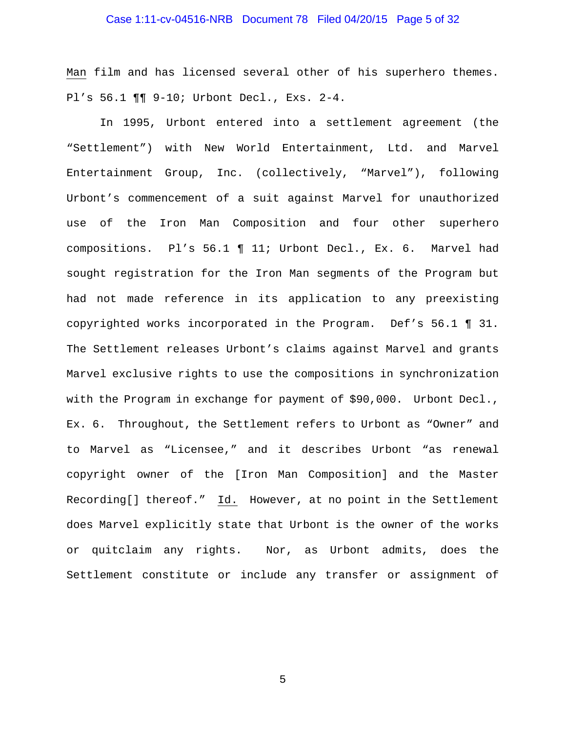## Case 1:11-cv-04516-NRB Document 78 Filed 04/20/15 Page 5 of 32

Man film and has licensed several other of his superhero themes. Pl's 56.1 ¶¶ 9-10; Urbont Decl., Exs. 2-4.

In 1995, Urbont entered into a settlement agreement (the "Settlement") with New World Entertainment, Ltd. and Marvel Entertainment Group, Inc. (collectively, "Marvel"), following Urbont's commencement of a suit against Marvel for unauthorized use of the Iron Man Composition and four other superhero compositions. Pl's 56.1 ¶ 11; Urbont Decl., Ex. 6. Marvel had sought registration for the Iron Man segments of the Program but had not made reference in its application to any preexisting copyrighted works incorporated in the Program. Def's 56.1 ¶ 31. The Settlement releases Urbont's claims against Marvel and grants Marvel exclusive rights to use the compositions in synchronization with the Program in exchange for payment of \$90,000. Urbont Decl., Ex. 6. Throughout, the Settlement refers to Urbont as "Owner" and to Marvel as "Licensee," and it describes Urbont "as renewal copyright owner of the [Iron Man Composition] and the Master Recording[] thereof." Id. However, at no point in the Settlement does Marvel explicitly state that Urbont is the owner of the works or quitclaim any rights. Nor, as Urbont admits, does the Settlement constitute or include any transfer or assignment of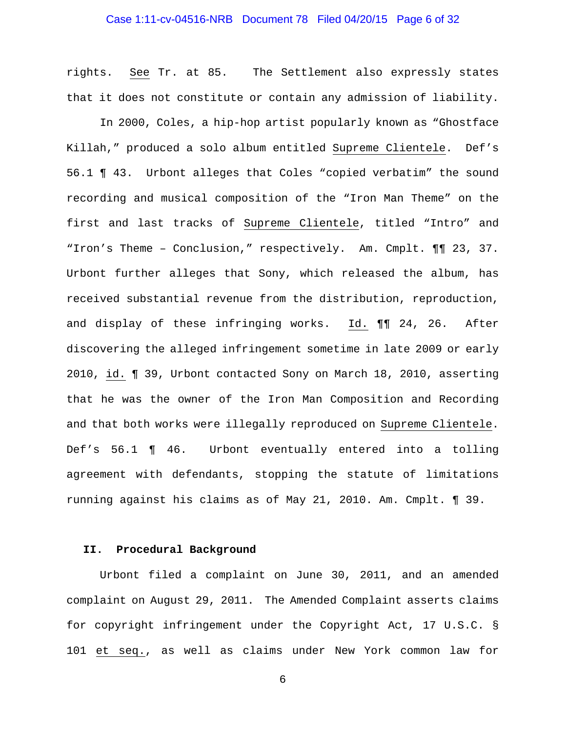## Case 1:11-cv-04516-NRB Document 78 Filed 04/20/15 Page 6 of 32

rights. See Tr. at 85. The Settlement also expressly states that it does not constitute or contain any admission of liability.

In 2000, Coles, a hip-hop artist popularly known as "Ghostface Killah," produced a solo album entitled Supreme Clientele. Def's 56.1 ¶ 43. Urbont alleges that Coles "copied verbatim" the sound recording and musical composition of the "Iron Man Theme" on the first and last tracks of Supreme Clientele, titled "Intro" and "Iron's Theme – Conclusion," respectively. Am. Cmplt. ¶¶ 23, 37. Urbont further alleges that Sony, which released the album, has received substantial revenue from the distribution, reproduction, and display of these infringing works. Id. ¶¶ 24, 26. After discovering the alleged infringement sometime in late 2009 or early 2010, id. ¶ 39, Urbont contacted Sony on March 18, 2010, asserting that he was the owner of the Iron Man Composition and Recording and that both works were illegally reproduced on Supreme Clientele. Def's 56.1 ¶ 46. Urbont eventually entered into a tolling agreement with defendants, stopping the statute of limitations running against his claims as of May 21, 2010. Am. Cmplt. ¶ 39.

## **II. Procedural Background**

Urbont filed a complaint on June 30, 2011, and an amended complaint on August 29, 2011. The Amended Complaint asserts claims for copyright infringement under the Copyright Act, 17 U.S.C. § 101 et seq., as well as claims under New York common law for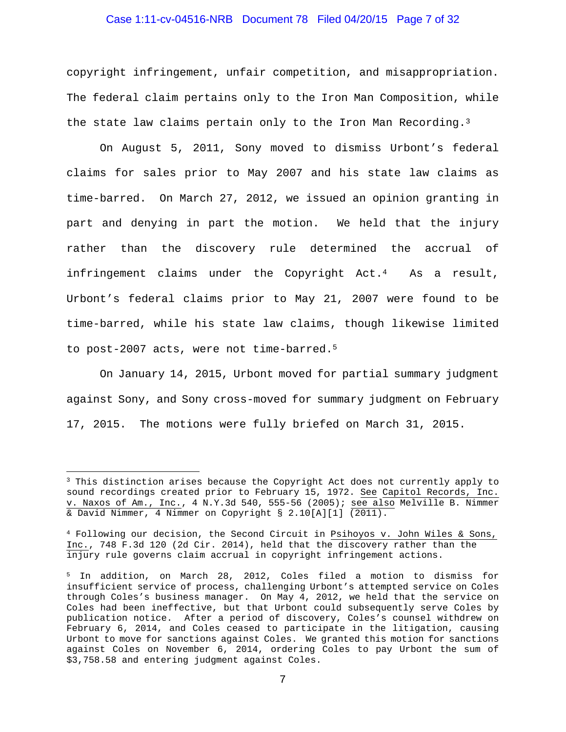## Case 1:11-cv-04516-NRB Document 78 Filed 04/20/15 Page 7 of 32

copyright infringement, unfair competition, and misappropriation. The federal claim pertains only to the Iron Man Composition, while the state law claims pertain only to the Iron Man Recording.<sup>3</sup>

On August 5, 2011, Sony moved to dismiss Urbont's federal claims for sales prior to May 2007 and his state law claims as time-barred. On March 27, 2012, we issued an opinion granting in part and denying in part the motion. We held that the injury rather than the discovery rule determined the accrual of infringement claims under the Copyright Act.<sup>4</sup> As a result, Urbont's federal claims prior to May 21, 2007 were found to be time-barred, while his state law claims, though likewise limited to post-2007 acts, were not time-barred.5

On January 14, 2015, Urbont moved for partial summary judgment against Sony, and Sony cross-moved for summary judgment on February 17, 2015. The motions were fully briefed on March 31, 2015.

 $\overline{a}$ 

<sup>&</sup>lt;sup>3</sup> This distinction arises because the Copyright Act does not currently apply to sound recordings created prior to February 15, 1972. See Capitol Records, Inc. v. Naxos of Am., Inc., 4 N.Y.3d 540, 555-56 (2005); see also Melville B. Nimmer & David Nimmer, 4 Nimmer on Copyright § 2.10[A][1] (2011).

<sup>4</sup> Following our decision, the Second Circuit in Psihoyos v. John Wiles & Sons, Inc., 748 F.3d 120 (2d Cir. 2014), held that the discovery rather than the injury rule governs claim accrual in copyright infringement actions.

<sup>5</sup> In addition, on March 28, 2012, Coles filed a motion to dismiss for insufficient service of process, challenging Urbont's attempted service on Coles through Coles's business manager. On May 4, 2012, we held that the service on Coles had been ineffective, but that Urbont could subsequently serve Coles by publication notice. After a period of discovery, Coles's counsel withdrew on February 6, 2014, and Coles ceased to participate in the litigation, causing Urbont to move for sanctions against Coles. We granted this motion for sanctions against Coles on November 6, 2014, ordering Coles to pay Urbont the sum of \$3,758.58 and entering judgment against Coles.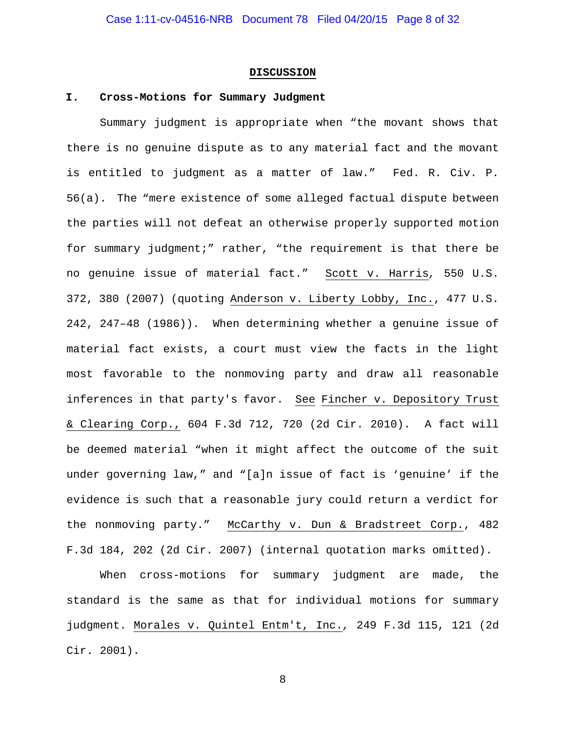#### **DISCUSSION**

#### **I. Cross-Motions for Summary Judgment**

Summary judgment is appropriate when "the movant shows that there is no genuine dispute as to any material fact and the movant is entitled to judgment as a matter of law." Fed. R. Civ. P. 56(a). The "mere existence of some alleged factual dispute between the parties will not defeat an otherwise properly supported motion for summary judgment;" rather, "the requirement is that there be no genuine issue of material fact." Scott v. Harris*,* 550 U.S. 372, 380 (2007) (quoting Anderson v. Liberty Lobby, Inc., 477 U.S. 242, 247–48 (1986)). When determining whether a genuine issue of material fact exists, a court must view the facts in the light most favorable to the nonmoving party and draw all reasonable inferences in that party's favor. See Fincher v. Depository Trust & Clearing Corp., 604 F.3d 712, 720 (2d Cir. 2010). A fact will be deemed material "when it might affect the outcome of the suit under governing law," and "[a]n issue of fact is 'genuine' if the evidence is such that a reasonable jury could return a verdict for the nonmoving party." McCarthy v. Dun & Bradstreet Corp., 482 F.3d 184, 202 (2d Cir. 2007) (internal quotation marks omitted).

When cross-motions for summary judgment are made, the standard is the same as that for individual motions for summary judgment. Morales v. Quintel Entm't, Inc.*,* 249 F.3d 115, 121 (2d Cir. 2001).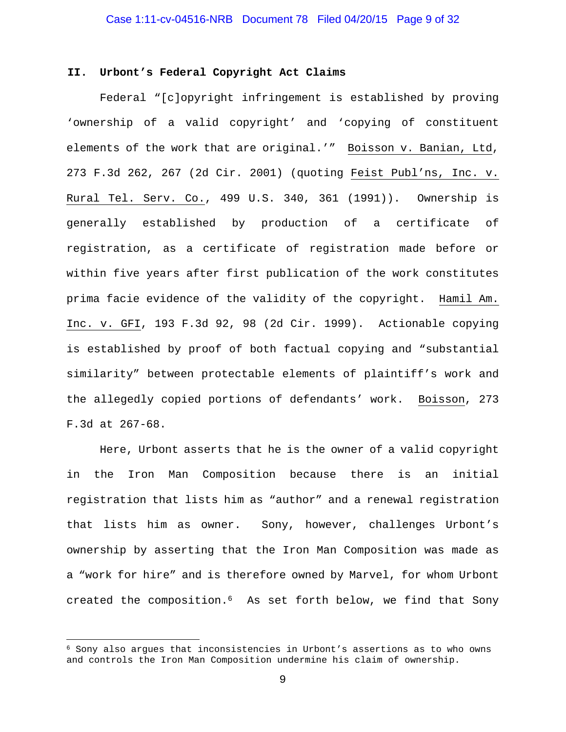#### **II. Urbont's Federal Copyright Act Claims**

Federal "[c]opyright infringement is established by proving 'ownership of a valid copyright' and 'copying of constituent elements of the work that are original.'" Boisson v. Banian, Ltd, 273 F.3d 262, 267 (2d Cir. 2001) (quoting Feist Publ'ns, Inc. v. Rural Tel. Serv. Co., 499 U.S. 340, 361 (1991)). Ownership is generally established by production of a certificate of registration, as a certificate of registration made before or within five years after first publication of the work constitutes prima facie evidence of the validity of the copyright. Hamil Am. Inc. v. GFI, 193 F.3d 92, 98 (2d Cir. 1999). Actionable copying is established by proof of both factual copying and "substantial similarity" between protectable elements of plaintiff's work and the allegedly copied portions of defendants' work. Boisson, 273 F.3d at 267-68.

Here, Urbont asserts that he is the owner of a valid copyright in the Iron Man Composition because there is an initial registration that lists him as "author" and a renewal registration that lists him as owner. Sony, however, challenges Urbont's ownership by asserting that the Iron Man Composition was made as a "work for hire" and is therefore owned by Marvel, for whom Urbont created the composition.6 As set forth below, we find that Sony

 $\overline{a}$ 

<sup>6</sup> Sony also argues that inconsistencies in Urbont's assertions as to who owns and controls the Iron Man Composition undermine his claim of ownership.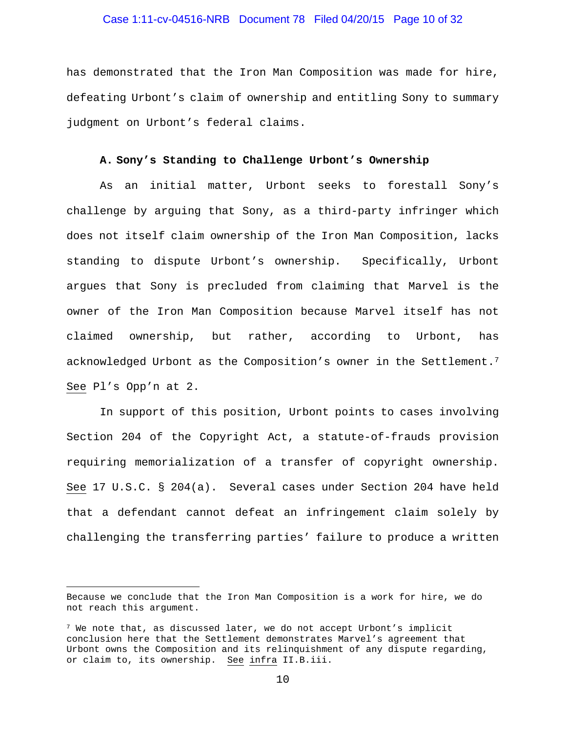## Case 1:11-cv-04516-NRB Document 78 Filed 04/20/15 Page 10 of 32

has demonstrated that the Iron Man Composition was made for hire, defeating Urbont's claim of ownership and entitling Sony to summary judgment on Urbont's federal claims.

#### **A. Sony's Standing to Challenge Urbont's Ownership**

As an initial matter, Urbont seeks to forestall Sony's challenge by arguing that Sony, as a third-party infringer which does not itself claim ownership of the Iron Man Composition, lacks standing to dispute Urbont's ownership. Specifically, Urbont argues that Sony is precluded from claiming that Marvel is the owner of the Iron Man Composition because Marvel itself has not claimed ownership, but rather, according to Urbont, has acknowledged Urbont as the Composition's owner in the Settlement.7 See Pl's Opp'n at 2.

In support of this position, Urbont points to cases involving Section 204 of the Copyright Act, a statute-of-frauds provision requiring memorialization of a transfer of copyright ownership. See 17 U.S.C. § 204(a). Several cases under Section 204 have held that a defendant cannot defeat an infringement claim solely by challenging the transferring parties' failure to produce a written

 $\overline{a}$ 

Because we conclude that the Iron Man Composition is a work for hire, we do not reach this argument.

 $7$  We note that, as discussed later, we do not accept Urbont's implicit conclusion here that the Settlement demonstrates Marvel's agreement that Urbont owns the Composition and its relinquishment of any dispute regarding, or claim to, its ownership. See infra II.B.iii.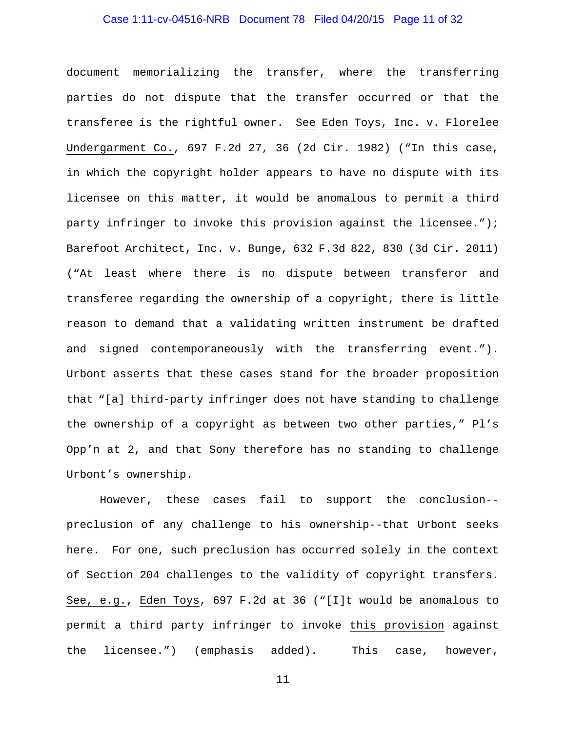# Case 1:11-cv-04516-NRB Document 78 Filed 04/20/15 Page 11 of 32

document memorializing the transfer, where the transferring parties do not dispute that the transfer occurred or that the transferee is the rightful owner. See Eden Toys, Inc. v. Florelee Undergarment Co., 697 F.2d 27, 36 (2d Cir. 1982) ("In this case, in which the copyright holder appears to have no dispute with its licensee on this matter, it would be anomalous to permit a third party infringer to invoke this provision against the licensee."); Barefoot Architect, Inc. v. Bunge, 632 F.3d 822, 830 (3d Cir. 2011) ("At least where there is no dispute between transferor and transferee regarding the ownership of a copyright, there is little reason to demand that a validating written instrument be drafted and signed contemporaneously with the transferring event."). Urbont asserts that these cases stand for the broader proposition that "[a] third-party infringer does not have standing to challenge the ownership of a copyright as between two other parties," Pl's Opp'n at 2, and that Sony therefore has no standing to challenge Urbont's ownership.

However, these cases fail to support the conclusion- preclusion of any challenge to his ownership--that Urbont seeks here. For one, such preclusion has occurred solely in the context of Section 204 challenges to the validity of copyright transfers. See, e.g., Eden Toys, 697 F.2d at 36 ("[I]t would be anomalous to permit a third party infringer to invoke this provision against the licensee.") (emphasis added). This case, however,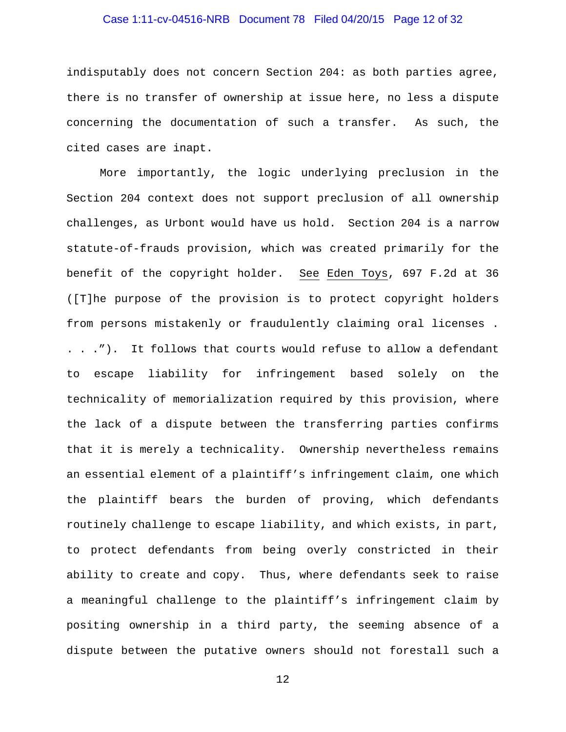## Case 1:11-cv-04516-NRB Document 78 Filed 04/20/15 Page 12 of 32

indisputably does not concern Section 204: as both parties agree, there is no transfer of ownership at issue here, no less a dispute concerning the documentation of such a transfer. As such, the cited cases are inapt.

More importantly, the logic underlying preclusion in the Section 204 context does not support preclusion of all ownership challenges, as Urbont would have us hold. Section 204 is a narrow statute-of-frauds provision, which was created primarily for the benefit of the copyright holder. See Eden Toys, 697 F.2d at 36 ([T]he purpose of the provision is to protect copyright holders from persons mistakenly or fraudulently claiming oral licenses . . . ."). It follows that courts would refuse to allow a defendant to escape liability for infringement based solely on the technicality of memorialization required by this provision, where the lack of a dispute between the transferring parties confirms that it is merely a technicality. Ownership nevertheless remains an essential element of a plaintiff's infringement claim, one which the plaintiff bears the burden of proving, which defendants routinely challenge to escape liability, and which exists, in part, to protect defendants from being overly constricted in their ability to create and copy. Thus, where defendants seek to raise a meaningful challenge to the plaintiff's infringement claim by positing ownership in a third party, the seeming absence of a dispute between the putative owners should not forestall such a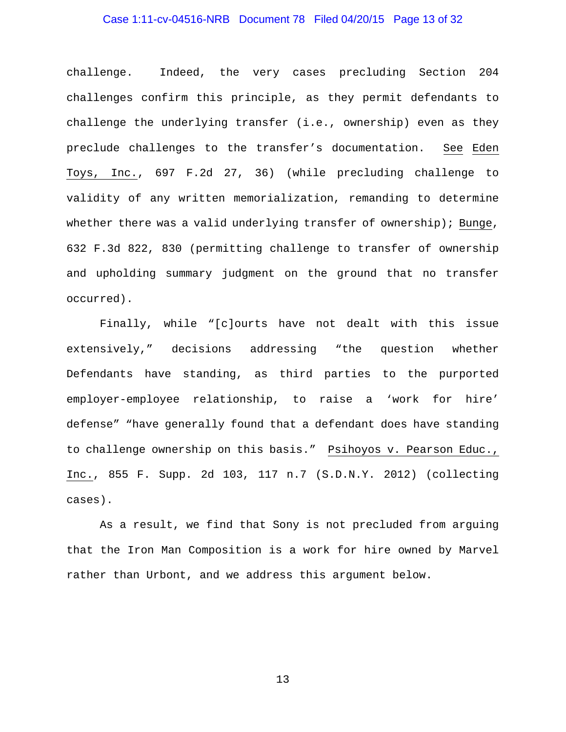## Case 1:11-cv-04516-NRB Document 78 Filed 04/20/15 Page 13 of 32

challenge. Indeed, the very cases precluding Section 204 challenges confirm this principle, as they permit defendants to challenge the underlying transfer (i.e., ownership) even as they preclude challenges to the transfer's documentation. See Eden Toys, Inc., 697 F.2d 27, 36) (while precluding challenge to validity of any written memorialization, remanding to determine whether there was a valid underlying transfer of ownership); Bunge, 632 F.3d 822, 830 (permitting challenge to transfer of ownership and upholding summary judgment on the ground that no transfer occurred).

Finally, while "[c]ourts have not dealt with this issue extensively," decisions addressing "the question whether Defendants have standing, as third parties to the purported employer-employee relationship, to raise a 'work for hire' defense" "have generally found that a defendant does have standing to challenge ownership on this basis." Psihoyos v. Pearson Educ., Inc., 855 F. Supp. 2d 103, 117 n.7 (S.D.N.Y. 2012) (collecting cases).

As a result, we find that Sony is not precluded from arguing that the Iron Man Composition is a work for hire owned by Marvel rather than Urbont, and we address this argument below.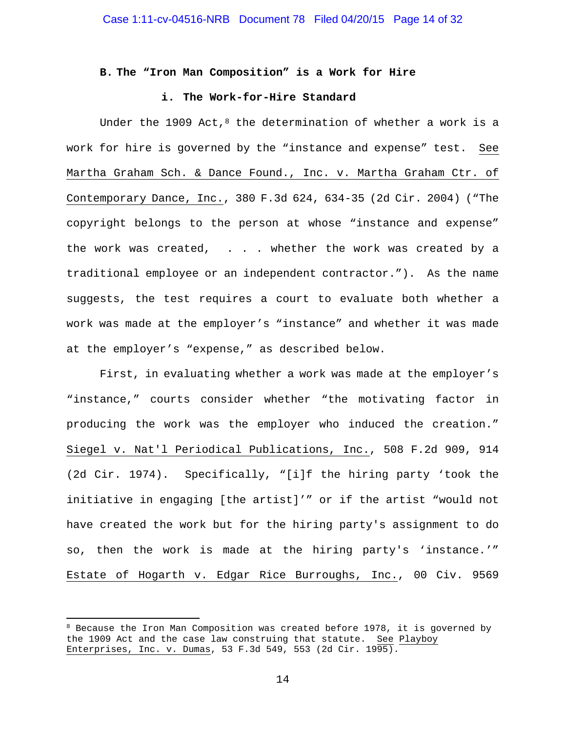#### **B. The "Iron Man Composition" is a Work for Hire**

#### **i. The Work-for-Hire Standard**

Under the 1909 Act, $8$  the determination of whether a work is a work for hire is governed by the "instance and expense" test. See Martha Graham Sch. & Dance Found., Inc. v. Martha Graham Ctr. of Contemporary Dance, Inc., 380 F.3d 624, 634-35 (2d Cir. 2004) ("The copyright belongs to the person at whose "instance and expense" the work was created, . . . whether the work was created by a traditional employee or an independent contractor."). As the name suggests, the test requires a court to evaluate both whether a work was made at the employer's "instance" and whether it was made at the employer's "expense," as described below.

First, in evaluating whether a work was made at the employer's "instance," courts consider whether "the motivating factor in producing the work was the employer who induced the creation." Siegel v. Nat'l Periodical Publications, Inc., 508 F.2d 909, 914 (2d Cir. 1974). Specifically, "[i]f the hiring party 'took the initiative in engaging [the artist]'" or if the artist "would not have created the work but for the hiring party's assignment to do so, then the work is made at the hiring party's 'instance.'" Estate of Hogarth v. Edgar Rice Burroughs, Inc., 00 Civ. 9569

 $\overline{a}$ 

<sup>&</sup>lt;sup>8</sup> Because the Iron Man Composition was created before 1978, it is governed by the 1909 Act and the case law construing that statute. See Playboy Enterprises, Inc. v. Dumas, 53 F.3d 549, 553 (2d Cir. 1995).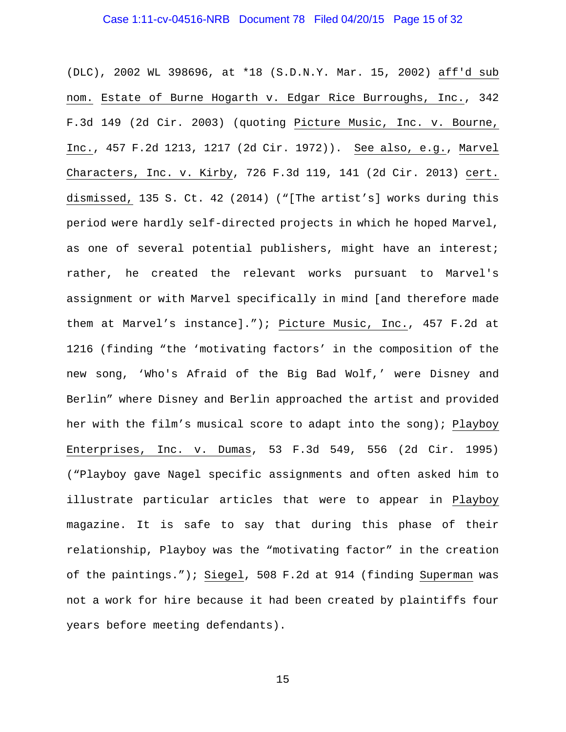## Case 1:11-cv-04516-NRB Document 78 Filed 04/20/15 Page 15 of 32

(DLC), 2002 WL 398696, at \*18 (S.D.N.Y. Mar. 15, 2002) aff'd sub nom. Estate of Burne Hogarth v. Edgar Rice Burroughs, Inc., 342 F.3d 149 (2d Cir. 2003) (quoting Picture Music, Inc. v. Bourne, Inc., 457 F.2d 1213, 1217 (2d Cir. 1972)). See also, e.g., Marvel Characters, Inc. v. Kirby, 726 F.3d 119, 141 (2d Cir. 2013) cert. dismissed, 135 S. Ct. 42 (2014) ("[The artist's] works during this period were hardly self-directed projects in which he hoped Marvel, as one of several potential publishers, might have an interest; rather, he created the relevant works pursuant to Marvel's assignment or with Marvel specifically in mind [and therefore made them at Marvel's instance]."); Picture Music, Inc., 457 F.2d at 1216 (finding "the 'motivating factors' in the composition of the new song, 'Who's Afraid of the Big Bad Wolf,' were Disney and Berlin" where Disney and Berlin approached the artist and provided her with the film's musical score to adapt into the song); Playboy Enterprises, Inc. v. Dumas, 53 F.3d 549, 556 (2d Cir. 1995) ("Playboy gave Nagel specific assignments and often asked him to illustrate particular articles that were to appear in Playboy magazine. It is safe to say that during this phase of their relationship, Playboy was the "motivating factor" in the creation of the paintings."); Siegel, 508 F.2d at 914 (finding Superman was not a work for hire because it had been created by plaintiffs four years before meeting defendants).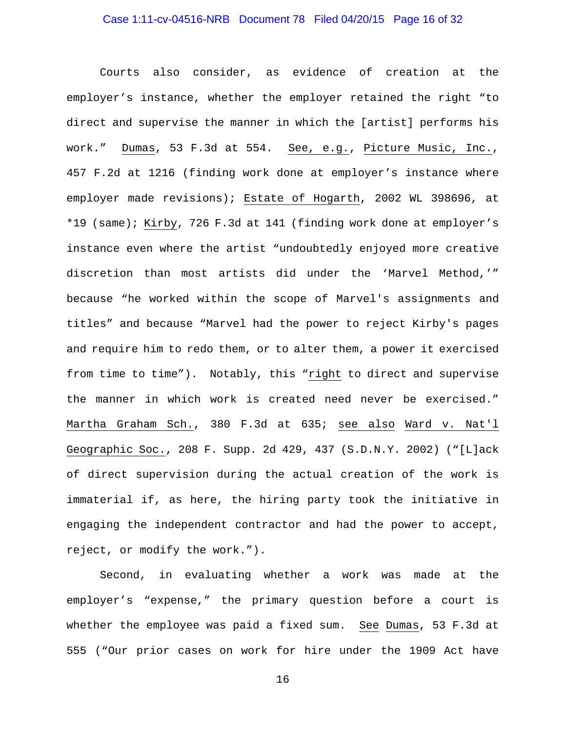## Case 1:11-cv-04516-NRB Document 78 Filed 04/20/15 Page 16 of 32

Courts also consider, as evidence of creation at the employer's instance, whether the employer retained the right "to direct and supervise the manner in which the [artist] performs his work." Dumas, 53 F.3d at 554. See, e.g., Picture Music, Inc., 457 F.2d at 1216 (finding work done at employer's instance where employer made revisions); Estate of Hogarth, 2002 WL 398696, at \*19 (same); Kirby, 726 F.3d at 141 (finding work done at employer's instance even where the artist "undoubtedly enjoyed more creative discretion than most artists did under the 'Marvel Method,'" because "he worked within the scope of Marvel's assignments and titles" and because "Marvel had the power to reject Kirby's pages and require him to redo them, or to alter them, a power it exercised from time to time"). Notably, this "right to direct and supervise the manner in which work is created need never be exercised." Martha Graham Sch., 380 F.3d at 635; see also Ward v. Nat'l Geographic Soc., 208 F. Supp. 2d 429, 437 (S.D.N.Y. 2002) ("[L]ack of direct supervision during the actual creation of the work is immaterial if, as here, the hiring party took the initiative in engaging the independent contractor and had the power to accept, reject, or modify the work.").

Second, in evaluating whether a work was made at the employer's "expense," the primary question before a court is whether the employee was paid a fixed sum. See Dumas, 53 F.3d at 555 ("Our prior cases on work for hire under the 1909 Act have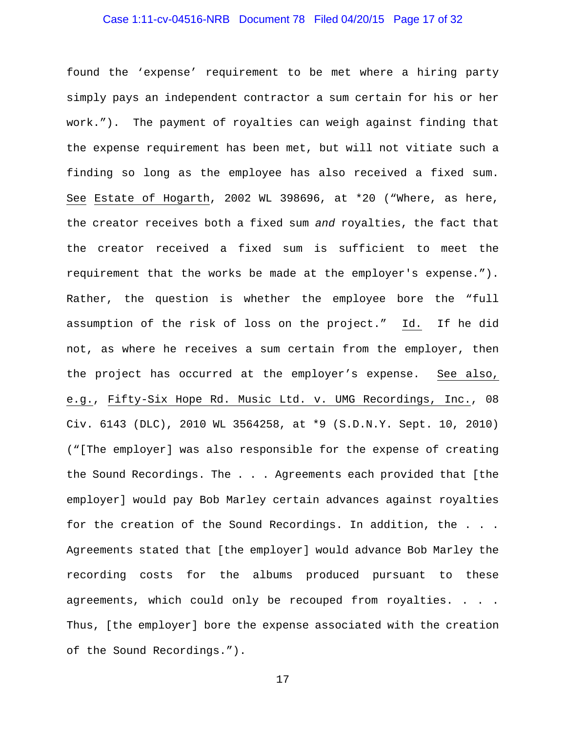## Case 1:11-cv-04516-NRB Document 78 Filed 04/20/15 Page 17 of 32

found the 'expense' requirement to be met where a hiring party simply pays an independent contractor a sum certain for his or her work."). The payment of royalties can weigh against finding that the expense requirement has been met, but will not vitiate such a finding so long as the employee has also received a fixed sum. See Estate of Hogarth, 2002 WL 398696, at \*20 ("Where, as here, the creator receives both a fixed sum *and* royalties, the fact that the creator received a fixed sum is sufficient to meet the requirement that the works be made at the employer's expense."). Rather, the question is whether the employee bore the "full assumption of the risk of loss on the project." Id. If he did not, as where he receives a sum certain from the employer, then the project has occurred at the employer's expense. See also, e.g., Fifty-Six Hope Rd. Music Ltd. v. UMG Recordings, Inc., 08 Civ. 6143 (DLC), 2010 WL 3564258, at \*9 (S.D.N.Y. Sept. 10, 2010) ("[The employer] was also responsible for the expense of creating the Sound Recordings. The . . . Agreements each provided that [the employer] would pay Bob Marley certain advances against royalties for the creation of the Sound Recordings. In addition, the . . . Agreements stated that [the employer] would advance Bob Marley the recording costs for the albums produced pursuant to these agreements, which could only be recouped from royalties. . . . Thus, [the employer] bore the expense associated with the creation of the Sound Recordings.").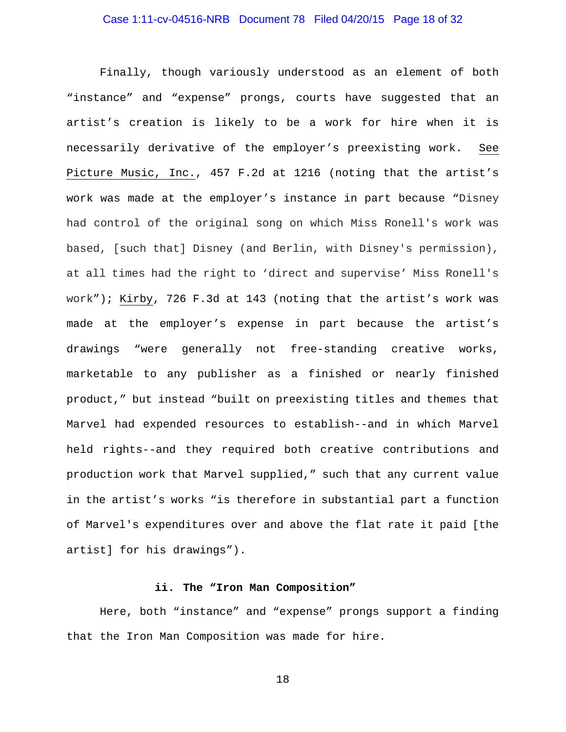## Case 1:11-cv-04516-NRB Document 78 Filed 04/20/15 Page 18 of 32

Finally, though variously understood as an element of both "instance" and "expense" prongs, courts have suggested that an artist's creation is likely to be a work for hire when it is necessarily derivative of the employer's preexisting work. See Picture Music, Inc., 457 F.2d at 1216 (noting that the artist's work was made at the employer's instance in part because "Disney had control of the original song on which Miss Ronell's work was based, [such that] Disney (and Berlin, with Disney's permission), at all times had the right to 'direct and supervise' Miss Ronell's work"); Kirby, 726 F.3d at 143 (noting that the artist's work was made at the employer's expense in part because the artist's drawings "were generally not free-standing creative works, marketable to any publisher as a finished or nearly finished product," but instead "built on preexisting titles and themes that Marvel had expended resources to establish--and in which Marvel held rights--and they required both creative contributions and production work that Marvel supplied," such that any current value in the artist's works "is therefore in substantial part a function of Marvel's expenditures over and above the flat rate it paid [the artist] for his drawings").

#### **ii. The "Iron Man Composition"**

Here, both "instance" and "expense" prongs support a finding that the Iron Man Composition was made for hire.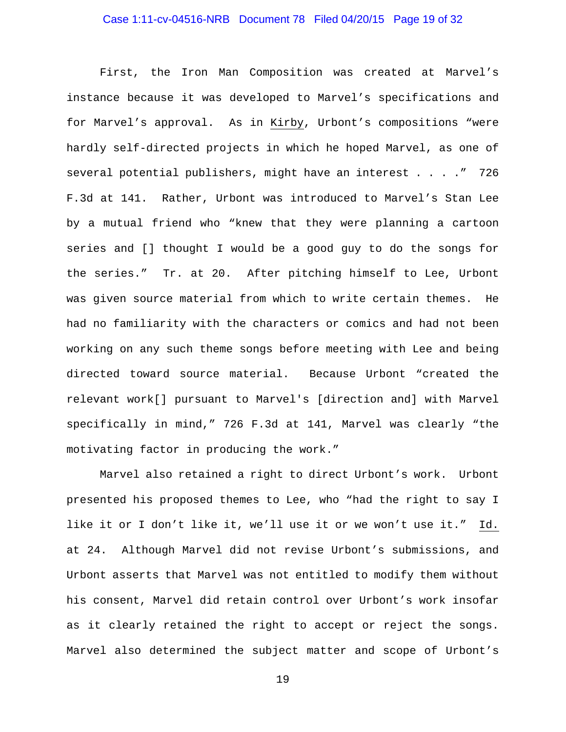## Case 1:11-cv-04516-NRB Document 78 Filed 04/20/15 Page 19 of 32

First, the Iron Man Composition was created at Marvel's instance because it was developed to Marvel's specifications and for Marvel's approval. As in Kirby, Urbont's compositions "were hardly self-directed projects in which he hoped Marvel, as one of several potential publishers, might have an interest . . . ." 726 F.3d at 141. Rather, Urbont was introduced to Marvel's Stan Lee by a mutual friend who "knew that they were planning a cartoon series and [] thought I would be a good guy to do the songs for the series." Tr. at 20. After pitching himself to Lee, Urbont was given source material from which to write certain themes. He had no familiarity with the characters or comics and had not been working on any such theme songs before meeting with Lee and being directed toward source material. Because Urbont "created the relevant work[] pursuant to Marvel's [direction and] with Marvel specifically in mind," 726 F.3d at 141, Marvel was clearly "the motivating factor in producing the work."

Marvel also retained a right to direct Urbont's work. Urbont presented his proposed themes to Lee, who "had the right to say I like it or I don't like it, we'll use it or we won't use it." Id. at 24. Although Marvel did not revise Urbont's submissions, and Urbont asserts that Marvel was not entitled to modify them without his consent, Marvel did retain control over Urbont's work insofar as it clearly retained the right to accept or reject the songs. Marvel also determined the subject matter and scope of Urbont's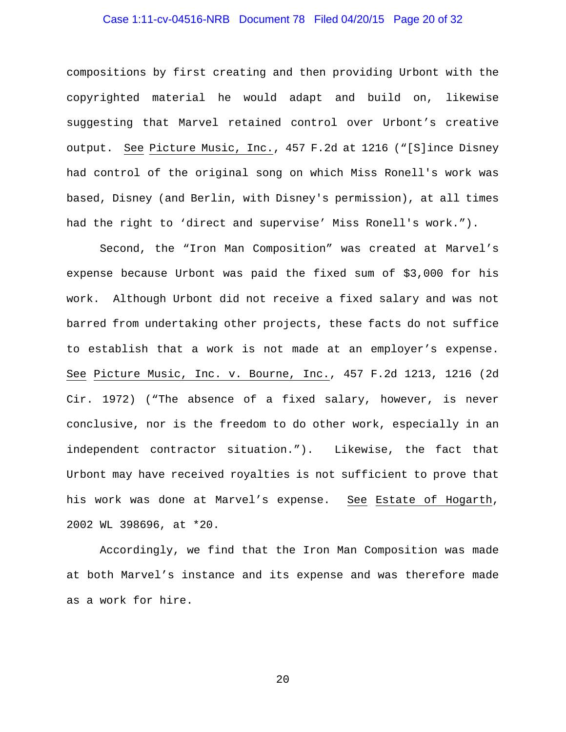## Case 1:11-cv-04516-NRB Document 78 Filed 04/20/15 Page 20 of 32

compositions by first creating and then providing Urbont with the copyrighted material he would adapt and build on, likewise suggesting that Marvel retained control over Urbont's creative output. See Picture Music, Inc., 457 F.2d at 1216 ("[S]ince Disney had control of the original song on which Miss Ronell's work was based, Disney (and Berlin, with Disney's permission), at all times had the right to 'direct and supervise' Miss Ronell's work.").

Second, the "Iron Man Composition" was created at Marvel's expense because Urbont was paid the fixed sum of \$3,000 for his work. Although Urbont did not receive a fixed salary and was not barred from undertaking other projects, these facts do not suffice to establish that a work is not made at an employer's expense. See Picture Music, Inc. v. Bourne, Inc., 457 F.2d 1213, 1216 (2d Cir. 1972) ("The absence of a fixed salary, however, is never conclusive, nor is the freedom to do other work, especially in an independent contractor situation."). Likewise, the fact that Urbont may have received royalties is not sufficient to prove that his work was done at Marvel's expense. See Estate of Hogarth, 2002 WL 398696, at \*20.

Accordingly, we find that the Iron Man Composition was made at both Marvel's instance and its expense and was therefore made as a work for hire.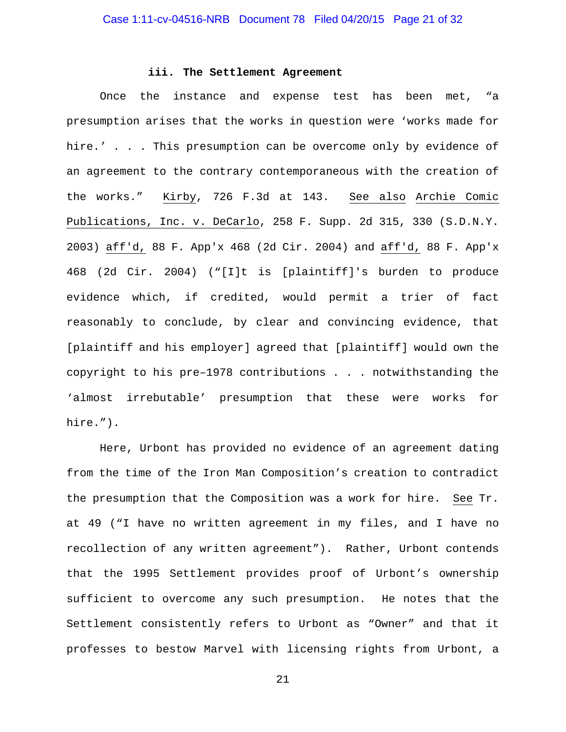#### **iii. The Settlement Agreement**

Once the instance and expense test has been met, "a presumption arises that the works in question were 'works made for hire.' . . . This presumption can be overcome only by evidence of an agreement to the contrary contemporaneous with the creation of the works." Kirby, 726 F.3d at 143. See also Archie Comic Publications, Inc. v. DeCarlo, 258 F. Supp. 2d 315, 330 (S.D.N.Y. 2003) aff'd, 88 F. App'x 468 (2d Cir. 2004) and aff'd, 88 F. App'x 468 (2d Cir. 2004) ("[I]t is [plaintiff]'s burden to produce evidence which, if credited, would permit a trier of fact reasonably to conclude, by clear and convincing evidence, that [plaintiff and his employer] agreed that [plaintiff] would own the copyright to his pre–1978 contributions . . . notwithstanding the 'almost irrebutable' presumption that these were works for hire.").

Here, Urbont has provided no evidence of an agreement dating from the time of the Iron Man Composition's creation to contradict the presumption that the Composition was a work for hire. See Tr. at 49 ("I have no written agreement in my files, and I have no recollection of any written agreement"). Rather, Urbont contends that the 1995 Settlement provides proof of Urbont's ownership sufficient to overcome any such presumption. He notes that the Settlement consistently refers to Urbont as "Owner" and that it professes to bestow Marvel with licensing rights from Urbont, a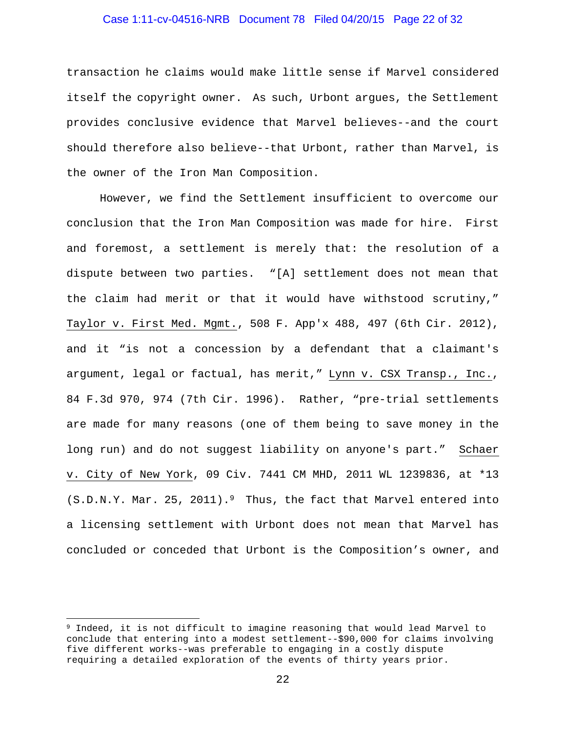# Case 1:11-cv-04516-NRB Document 78 Filed 04/20/15 Page 22 of 32

transaction he claims would make little sense if Marvel considered itself the copyright owner. As such, Urbont argues, the Settlement provides conclusive evidence that Marvel believes--and the court should therefore also believe--that Urbont, rather than Marvel, is the owner of the Iron Man Composition.

However, we find the Settlement insufficient to overcome our conclusion that the Iron Man Composition was made for hire. First and foremost, a settlement is merely that: the resolution of a dispute between two parties. "[A] settlement does not mean that the claim had merit or that it would have withstood scrutiny," Taylor v. First Med. Mgmt., 508 F. App'x 488, 497 (6th Cir. 2012), and it "is not a concession by a defendant that a claimant's argument, legal or factual, has merit," Lynn v. CSX Transp., Inc., 84 F.3d 970, 974 (7th Cir. 1996). Rather, "pre-trial settlements are made for many reasons (one of them being to save money in the long run) and do not suggest liability on anyone's part." Schaer v. City of New York, 09 Civ. 7441 CM MHD, 2011 WL 1239836, at \*13  $(S.D.N.Y.$  Mar. 25, 2011).<sup>9</sup> Thus, the fact that Marvel entered into a licensing settlement with Urbont does not mean that Marvel has concluded or conceded that Urbont is the Composition's owner, and

 $\overline{a}$ 

<sup>&</sup>lt;sup>9</sup> Indeed, it is not difficult to imagine reasoning that would lead Marvel to conclude that entering into a modest settlement--\$90,000 for claims involving five different works--was preferable to engaging in a costly dispute requiring a detailed exploration of the events of thirty years prior.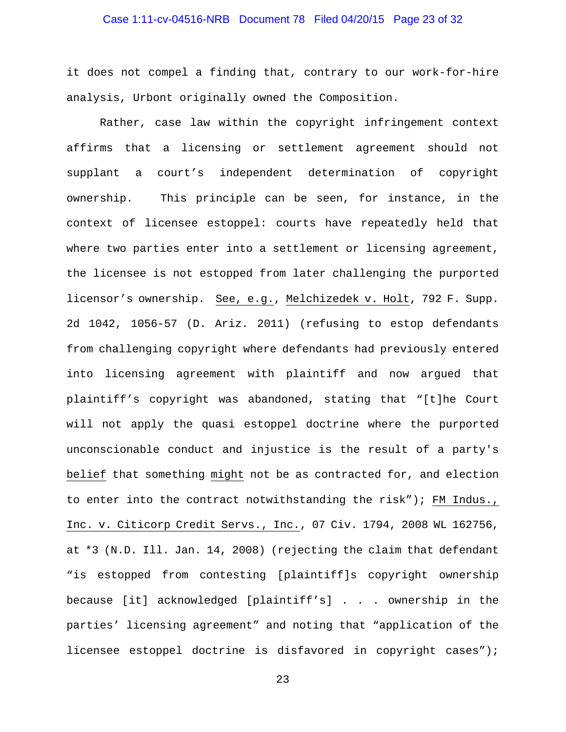## Case 1:11-cv-04516-NRB Document 78 Filed 04/20/15 Page 23 of 32

it does not compel a finding that, contrary to our work-for-hire analysis, Urbont originally owned the Composition.

Rather, case law within the copyright infringement context affirms that a licensing or settlement agreement should not supplant a court's independent determination of copyright ownership. This principle can be seen, for instance, in the context of licensee estoppel: courts have repeatedly held that where two parties enter into a settlement or licensing agreement, the licensee is not estopped from later challenging the purported licensor's ownership. See, e.g., Melchizedek v. Holt, 792 F. Supp. 2d 1042, 1056-57 (D. Ariz. 2011) (refusing to estop defendants from challenging copyright where defendants had previously entered into licensing agreement with plaintiff and now argued that plaintiff's copyright was abandoned, stating that "[t]he Court will not apply the quasi estoppel doctrine where the purported unconscionable conduct and injustice is the result of a party's belief that something might not be as contracted for, and election to enter into the contract notwithstanding the risk"); FM Indus., Inc. v. Citicorp Credit Servs., Inc., 07 Civ. 1794, 2008 WL 162756, at \*3 (N.D. Ill. Jan. 14, 2008) (rejecting the claim that defendant "is estopped from contesting [plaintiff]s copyright ownership because [it] acknowledged [plaintiff's] . . . ownership in the parties' licensing agreement" and noting that "application of the licensee estoppel doctrine is disfavored in copyright cases");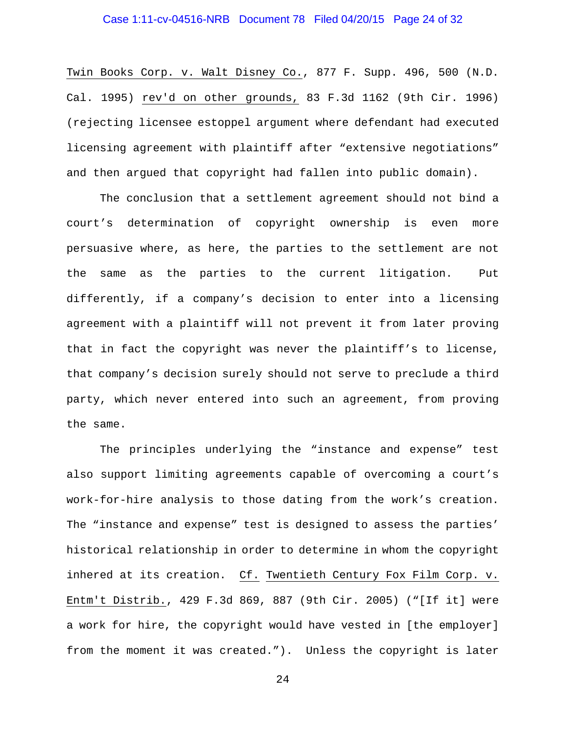## Case 1:11-cv-04516-NRB Document 78 Filed 04/20/15 Page 24 of 32

Twin Books Corp. v. Walt Disney Co., 877 F. Supp. 496, 500 (N.D. Cal. 1995) rev'd on other grounds, 83 F.3d 1162 (9th Cir. 1996) (rejecting licensee estoppel argument where defendant had executed licensing agreement with plaintiff after "extensive negotiations" and then argued that copyright had fallen into public domain).

The conclusion that a settlement agreement should not bind a court's determination of copyright ownership is even more persuasive where, as here, the parties to the settlement are not the same as the parties to the current litigation. Put differently, if a company's decision to enter into a licensing agreement with a plaintiff will not prevent it from later proving that in fact the copyright was never the plaintiff's to license, that company's decision surely should not serve to preclude a third party, which never entered into such an agreement, from proving the same.

The principles underlying the "instance and expense" test also support limiting agreements capable of overcoming a court's work-for-hire analysis to those dating from the work's creation. The "instance and expense" test is designed to assess the parties' historical relationship in order to determine in whom the copyright inhered at its creation. Cf. Twentieth Century Fox Film Corp. v. Entm't Distrib., 429 F.3d 869, 887 (9th Cir. 2005) ("[If it] were a work for hire, the copyright would have vested in [the employer] from the moment it was created."). Unless the copyright is later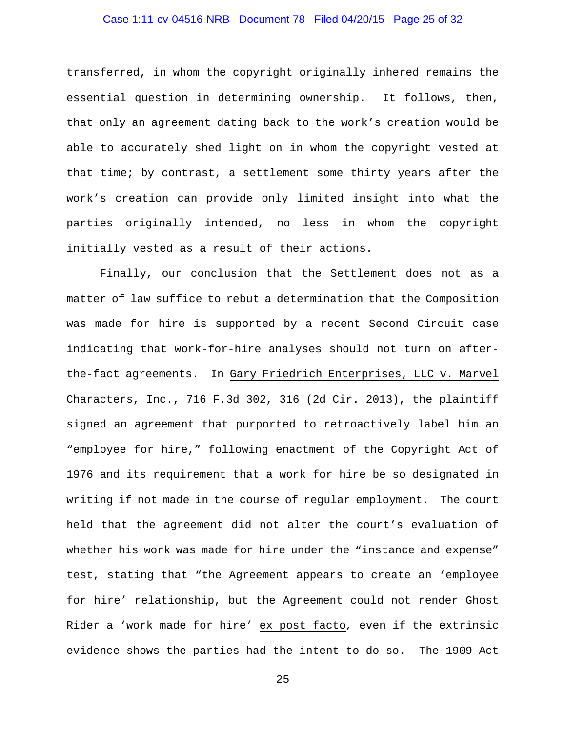## Case 1:11-cv-04516-NRB Document 78 Filed 04/20/15 Page 25 of 32

transferred, in whom the copyright originally inhered remains the essential question in determining ownership. It follows, then, that only an agreement dating back to the work's creation would be able to accurately shed light on in whom the copyright vested at that time; by contrast, a settlement some thirty years after the work's creation can provide only limited insight into what the parties originally intended, no less in whom the copyright initially vested as a result of their actions.

Finally, our conclusion that the Settlement does not as a matter of law suffice to rebut a determination that the Composition was made for hire is supported by a recent Second Circuit case indicating that work-for-hire analyses should not turn on afterthe-fact agreements. In Gary Friedrich Enterprises, LLC v. Marvel Characters, Inc., 716 F.3d 302, 316 (2d Cir. 2013), the plaintiff signed an agreement that purported to retroactively label him an "employee for hire," following enactment of the Copyright Act of 1976 and its requirement that a work for hire be so designated in writing if not made in the course of regular employment. The court held that the agreement did not alter the court's evaluation of whether his work was made for hire under the "instance and expense" test, stating that "the Agreement appears to create an 'employee for hire' relationship, but the Agreement could not render Ghost Rider a 'work made for hire' ex post facto*,* even if the extrinsic evidence shows the parties had the intent to do so. The 1909 Act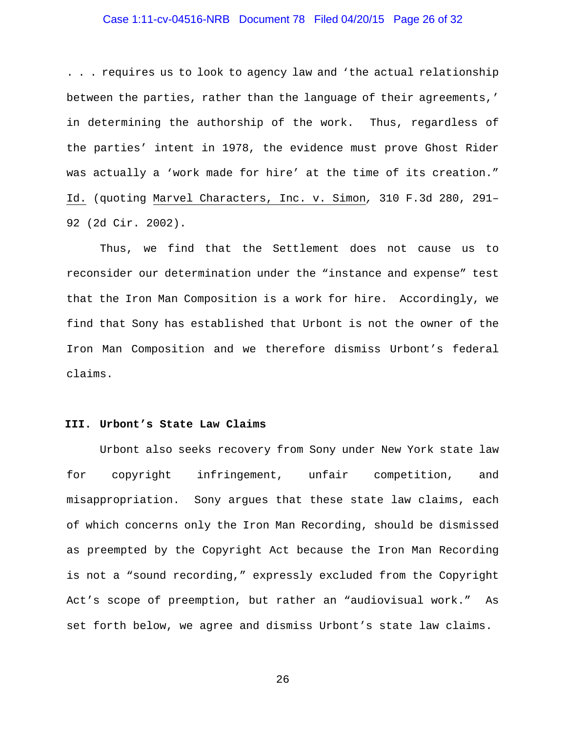## Case 1:11-cv-04516-NRB Document 78 Filed 04/20/15 Page 26 of 32

. . . requires us to look to agency law and 'the actual relationship between the parties, rather than the language of their agreements,' in determining the authorship of the work. Thus, regardless of the parties' intent in 1978, the evidence must prove Ghost Rider was actually a 'work made for hire' at the time of its creation." Id. (quoting Marvel Characters, Inc. v. Simon*,* 310 F.3d 280, 291– 92 (2d Cir. 2002).

Thus, we find that the Settlement does not cause us to reconsider our determination under the "instance and expense" test that the Iron Man Composition is a work for hire. Accordingly, we find that Sony has established that Urbont is not the owner of the Iron Man Composition and we therefore dismiss Urbont's federal claims.

#### **III. Urbont's State Law Claims**

Urbont also seeks recovery from Sony under New York state law for copyright infringement, unfair competition, and misappropriation. Sony argues that these state law claims, each of which concerns only the Iron Man Recording, should be dismissed as preempted by the Copyright Act because the Iron Man Recording is not a "sound recording," expressly excluded from the Copyright Act's scope of preemption, but rather an "audiovisual work." As set forth below, we agree and dismiss Urbont's state law claims.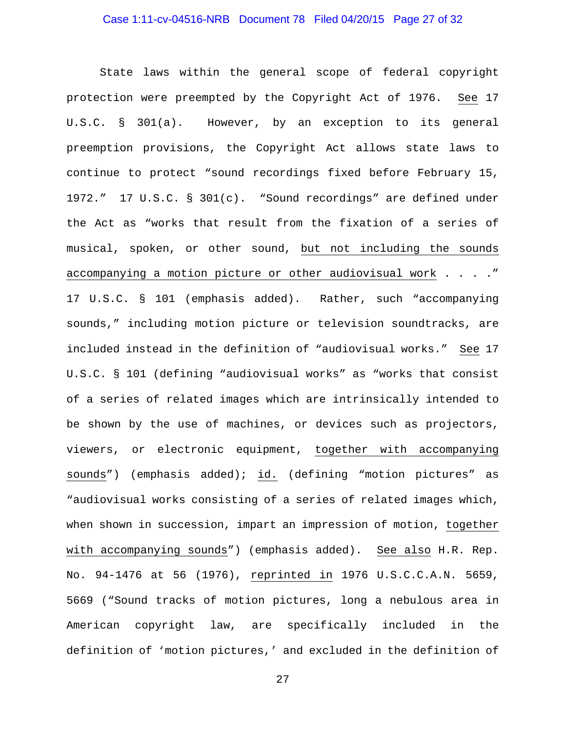## Case 1:11-cv-04516-NRB Document 78 Filed 04/20/15 Page 27 of 32

State laws within the general scope of federal copyright protection were preempted by the Copyright Act of 1976. See 17 U.S.C. § 301(a). However, by an exception to its general preemption provisions, the Copyright Act allows state laws to continue to protect "sound recordings fixed before February 15, 1972." 17 U.S.C. § 301(c). "Sound recordings" are defined under the Act as "works that result from the fixation of a series of musical, spoken, or other sound, but not including the sounds accompanying a motion picture or other audiovisual work . . . ." 17 U.S.C. § 101 (emphasis added). Rather, such "accompanying sounds," including motion picture or television soundtracks, are included instead in the definition of "audiovisual works." See 17 U.S.C. § 101 (defining "audiovisual works" as "works that consist of a series of related images which are intrinsically intended to be shown by the use of machines, or devices such as projectors, viewers, or electronic equipment, together with accompanying sounds") (emphasis added); id. (defining "motion pictures" as "audiovisual works consisting of a series of related images which, when shown in succession, impart an impression of motion, together with accompanying sounds") (emphasis added). See also H.R. Rep. No. 94-1476 at 56 (1976), reprinted in 1976 U.S.C.C.A.N. 5659, 5669 ("Sound tracks of motion pictures, long a nebulous area in American copyright law, are specifically included in the definition of 'motion pictures,' and excluded in the definition of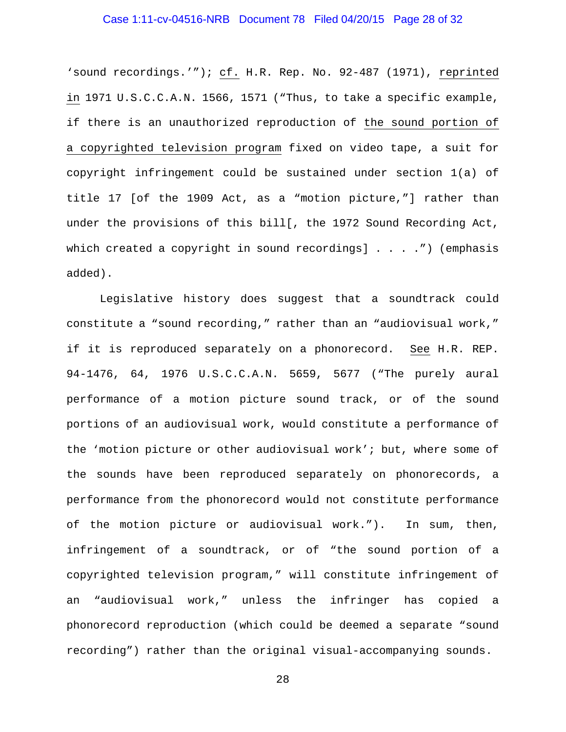## Case 1:11-cv-04516-NRB Document 78 Filed 04/20/15 Page 28 of 32

'sound recordings.'"); cf. H.R. Rep. No. 92-487 (1971), reprinted in 1971 U.S.C.C.A.N. 1566, 1571 ("Thus, to take a specific example, if there is an unauthorized reproduction of the sound portion of a copyrighted television program fixed on video tape, a suit for copyright infringement could be sustained under section 1(a) of title 17 [of the 1909 Act, as a "motion picture,"] rather than under the provisions of this bill[, the 1972 Sound Recording Act, which created a copyright in sound recordings] . . . .") (emphasis added).

Legislative history does suggest that a soundtrack could constitute a "sound recording," rather than an "audiovisual work," if it is reproduced separately on a phonorecord. See H.R. REP. 94-1476, 64, 1976 U.S.C.C.A.N. 5659, 5677 ("The purely aural performance of a motion picture sound track, or of the sound portions of an audiovisual work, would constitute a performance of the 'motion picture or other audiovisual work'; but, where some of the sounds have been reproduced separately on phonorecords, a performance from the phonorecord would not constitute performance of the motion picture or audiovisual work."). In sum, then, infringement of a soundtrack, or of "the sound portion of a copyrighted television program," will constitute infringement of an "audiovisual work," unless the infringer has copied a phonorecord reproduction (which could be deemed a separate "sound recording") rather than the original visual-accompanying sounds.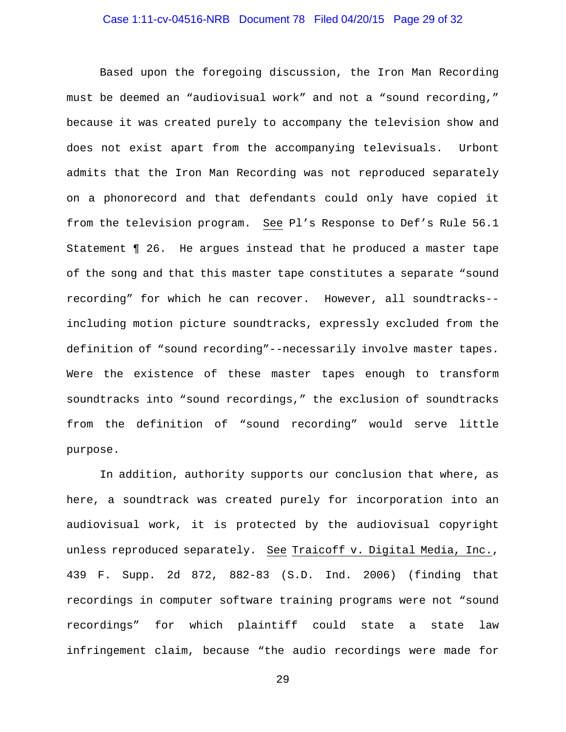## Case 1:11-cv-04516-NRB Document 78 Filed 04/20/15 Page 29 of 32

Based upon the foregoing discussion, the Iron Man Recording must be deemed an "audiovisual work" and not a "sound recording," because it was created purely to accompany the television show and does not exist apart from the accompanying televisuals. Urbont admits that the Iron Man Recording was not reproduced separately on a phonorecord and that defendants could only have copied it from the television program. See Pl's Response to Def's Rule 56.1 Statement ¶ 26. He argues instead that he produced a master tape of the song and that this master tape constitutes a separate "sound recording" for which he can recover. However, all soundtracks- including motion picture soundtracks, expressly excluded from the definition of "sound recording"--necessarily involve master tapes. Were the existence of these master tapes enough to transform soundtracks into "sound recordings," the exclusion of soundtracks from the definition of "sound recording" would serve little purpose.

In addition, authority supports our conclusion that where, as here, a soundtrack was created purely for incorporation into an audiovisual work, it is protected by the audiovisual copyright unless reproduced separately. See Traicoff v. Digital Media, Inc., 439 F. Supp. 2d 872, 882-83 (S.D. Ind. 2006) (finding that recordings in computer software training programs were not "sound recordings" for which plaintiff could state a state law infringement claim, because "the audio recordings were made for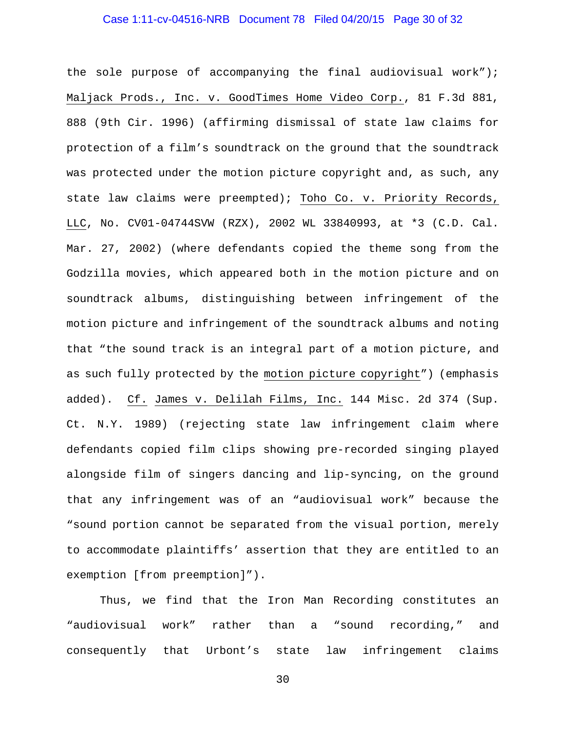## Case 1:11-cv-04516-NRB Document 78 Filed 04/20/15 Page 30 of 32

the sole purpose of accompanying the final audiovisual work"); Maljack Prods., Inc. v. GoodTimes Home Video Corp., 81 F.3d 881, 888 (9th Cir. 1996) (affirming dismissal of state law claims for protection of a film's soundtrack on the ground that the soundtrack was protected under the motion picture copyright and, as such, any state law claims were preempted); Toho Co. v. Priority Records, LLC, No. CV01-04744SVW (RZX), 2002 WL 33840993, at \*3 (C.D. Cal. Mar. 27, 2002) (where defendants copied the theme song from the Godzilla movies, which appeared both in the motion picture and on soundtrack albums, distinguishing between infringement of the motion picture and infringement of the soundtrack albums and noting that "the sound track is an integral part of a motion picture, and as such fully protected by the motion picture copyright") (emphasis added). Cf. James v. Delilah Films, Inc. 144 Misc. 2d 374 (Sup. Ct. N.Y. 1989) (rejecting state law infringement claim where defendants copied film clips showing pre-recorded singing played alongside film of singers dancing and lip-syncing, on the ground that any infringement was of an "audiovisual work" because the "sound portion cannot be separated from the visual portion, merely to accommodate plaintiffs' assertion that they are entitled to an exemption [from preemption]").

Thus, we find that the Iron Man Recording constitutes an "audiovisual work" rather than a "sound recording," and consequently that Urbont's state law infringement claims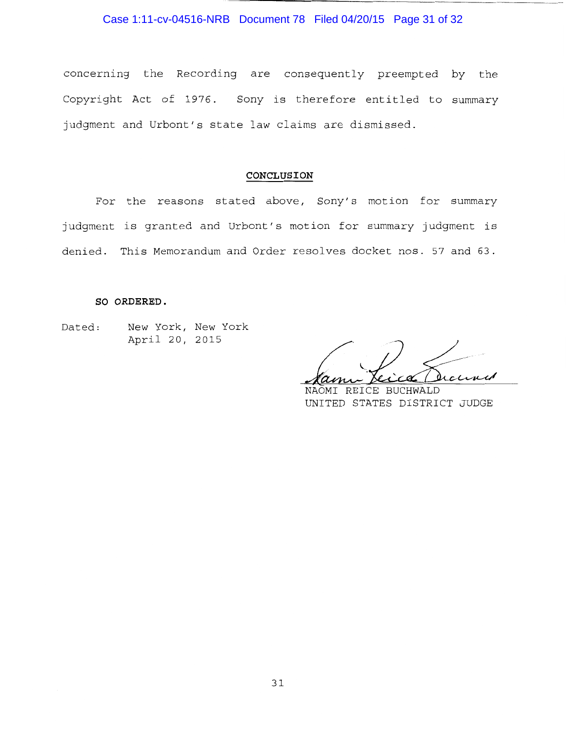Case 1:11-cv-04516-NRB Document 78 Filed 04/20/15 Page 31 of 32

concerning the Recording are consequently preempted by the Copyright Act of 1976. Sony is therefore entitled to summary judgment and Urbont's state law claims are dismissed.

## **CONCLUSION**

For the reasons stated above, Sony's motion for summary judgment is granted and Urbont's motion for summary judgment is denied. This Memorandum and Order resolves docket nos. 57 and 63.

#### **SO ORDERED.**

Dated: New York, New York April 20, 2015

clined

NAOMI REICE BUCHWALD UNITED STATES DISTRICT JUDGE